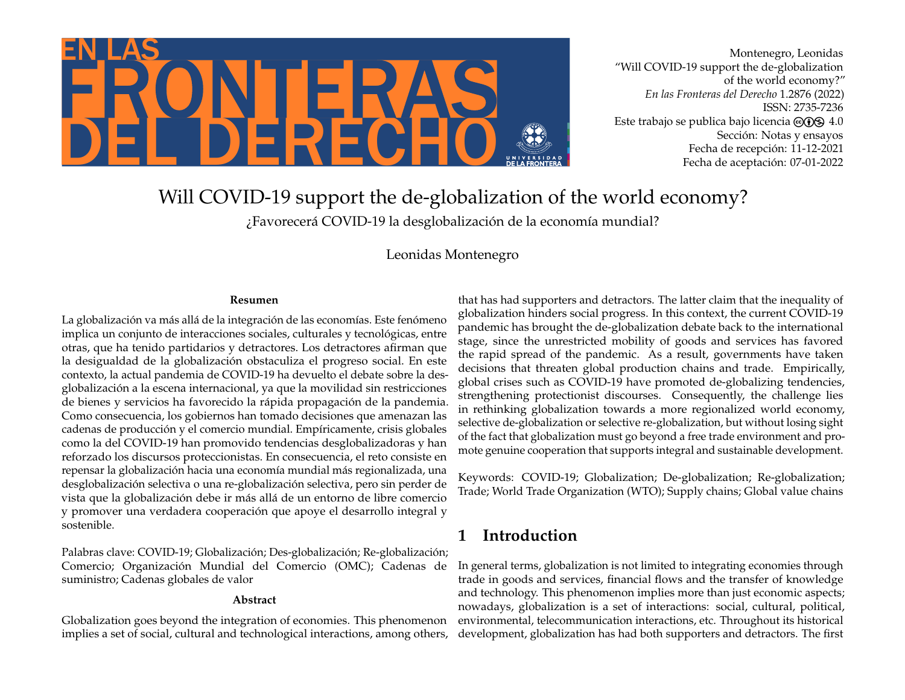

Montenegro, Leonidas "Will COVID-19 support the de-globalization of the world economy?" *En las Fronteras del Derecho* 1.2876 (2022) ISSN: 2735-7236 Este trabajo se publica bajo licencia  $\textcircled{\odot} \textcircled{\tiny{\textbf{S}}} 4.0$ Sección: Notas y ensayos Fecha de recepción: 11-12-2021 Fecha de aceptación: 07-01-2022

# Will COVID-19 support the de-globalization of the world economy?

¿Favorecerá COVID-19 la desglobalización de la economía mundial?

Leonidas Montenegro

#### **Resumen**

La globalización va más allá de la integración de las economías. Este fenómeno implica un conjunto de interacciones sociales, culturales y tecnológicas, entre otras, que ha tenido partidarios y detractores. Los detractores afirman que la desigualdad de la globalización obstaculiza el progreso social. En este contexto, la actual pandemia de COVID-19 ha devuelto el debate sobre la desglobalización a la escena internacional, ya que la movilidad sin restricciones de bienes y servicios ha favorecido la rápida propagación de la pandemia. Como consecuencia, los gobiernos han tomado decisiones que amenazan las cadenas de producción y el comercio mundial. Empíricamente, crisis globales como la del COVID-19 han promovido tendencias desglobalizadoras y han reforzado los discursos proteccionistas. En consecuencia, el reto consiste en repensar la globalización hacia una economía mundial más regionalizada, una desglobalización selectiva o una re-globalización selectiva, pero sin perder de vista que la globalización debe ir más allá de un entorno de libre comercio y promover una verdadera cooperación que apoye el desarrollo integral y sostenible.

Palabras clave: COVID-19; Globalización; Des-globalización; Re-globalización; Comercio; Organización Mundial del Comercio (OMC); Cadenas de suministro; Cadenas globales de valor

#### **Abstract**

Globalization goes beyond the integration of economies. This phenomenon implies a set of social, cultural and technological interactions, among others,

that has had supporters and detractors. The latter claim that the inequality of globalization hinders social progress. In this context, the current COVID-19 pandemic has brought the de-globalization debate back to the international stage, since the unrestricted mobility of goods and services has favored the rapid spread of the pandemic. As a result, governments have taken decisions that threaten global production chains and trade. Empirically, global crises such as COVID-19 have promoted de-globalizing tendencies, strengthening protectionist discourses. Consequently, the challenge lies in rethinking globalization towards a more regionalized world economy, selective de-globalization or selective re-globalization, but without losing sight of the fact that globalization must go beyond a free trade environment and promote genuine cooperation that supports integral and sustainable development.

Keywords: COVID-19; Globalization; De-globalization; Re-globalization; Trade; World Trade Organization (WTO); Supply chains; Global value chains

# **1 Introduction**

In general terms, globalization is not limited to integrating economies through trade in goods and services, financial flows and the transfer of knowledge and technology. This phenomenon implies more than just economic aspects; nowadays, globalization is a set of interactions: social, cultural, political, environmental, telecommunication interactions, etc. Throughout its historical development, globalization has had both supporters and detractors. The first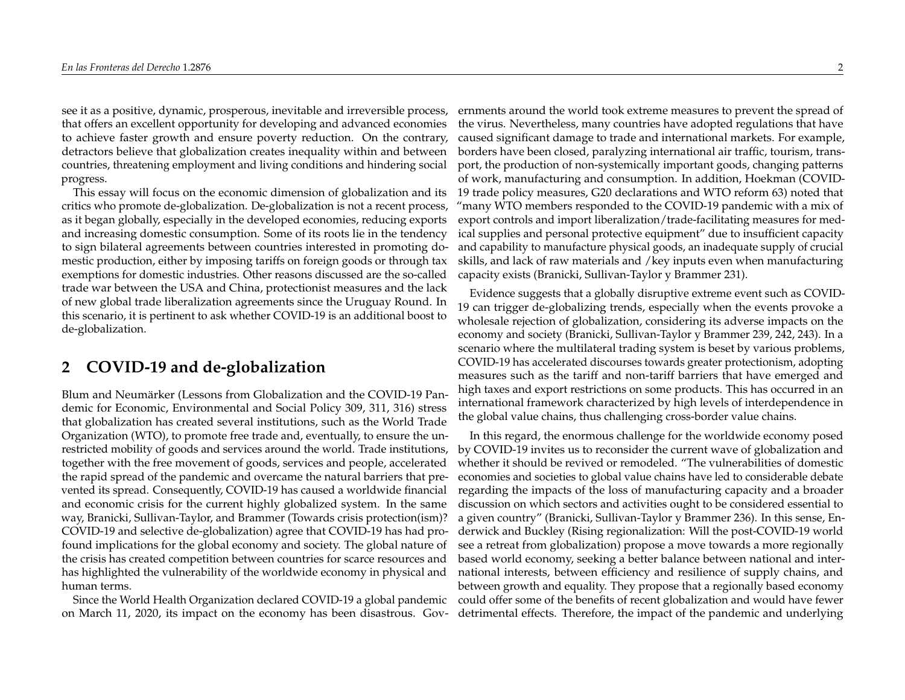see it as a positive, dynamic, prosperous, inevitable and irreversible process, that offers an excellent opportunity for developing and advanced economies to achieve faster growth and ensure poverty reduction. On the contrary, detractors believe that globalization creates inequality within and between countries, threatening employment and living conditions and hindering social progress.

This essay will focus on the economic dimension of globalization and its critics who promote de-globalization. De-globalization is not a recent process, as it began globally, especially in the developed economies, reducing exports and increasing domestic consumption. Some of its roots lie in the tendency to sign bilateral agreements between countries interested in promoting domestic production, either by imposing tariffs on foreign goods or through tax exemptions for domestic industries. Other reasons discussed are the so-called trade war between the USA and China, protectionist measures and the lack of new global trade liberalization agreements since the Uruguay Round. In this scenario, it is pertinent to ask whether COVID-19 is an additional boost to de-globalization.

### **2 COVID-19 and de-globalization**

Blum and Neumärker (Lessons from Globalization and the COVID-19 Pandemic for Economic, Environmental and Social Policy 309, 311, 316) stress that globalization has created several institutions, such as the World Trade Organization (WTO), to promote free trade and, eventually, to ensure the unrestricted mobility of goods and services around the world. Trade institutions, together with the free movement of goods, services and people, accelerated the rapid spread of the pandemic and overcame the natural barriers that prevented its spread. Consequently, COVID-19 has caused a worldwide financial and economic crisis for the current highly globalized system. In the same way, Branicki, Sullivan-Taylor, and Brammer (Towards crisis protection(ism)? COVID-19 and selective de-globalization) agree that COVID-19 has had profound implications for the global economy and society. The global nature of the crisis has created competition between countries for scarce resources and has highlighted the vulnerability of the worldwide economy in physical and human terms.

Since the World Health Organization declared COVID-19 a global pandemic on March 11, 2020, its impact on the economy has been disastrous. Gov-

ernments around the world took extreme measures to prevent the spread of the virus. Nevertheless, many countries have adopted regulations that have caused significant damage to trade and international markets. For example, borders have been closed, paralyzing international air traffic, tourism, transport, the production of non-systemically important goods, changing patterns of work, manufacturing and consumption. In addition, Hoekman (COVID-19 trade policy measures, G20 declarations and WTO reform 63) noted that "many WTO members responded to the COVID-19 pandemic with a mix of export controls and import liberalization/trade-facilitating measures for medical supplies and personal protective equipment" due to insufficient capacity and capability to manufacture physical goods, an inadequate supply of crucial skills, and lack of raw materials and /key inputs even when manufacturing capacity exists (Branicki, Sullivan-Taylor y Brammer 231).

Evidence suggests that a globally disruptive extreme event such as COVID-19 can trigger de-globalizing trends, especially when the events provoke a wholesale rejection of globalization, considering its adverse impacts on the economy and society (Branicki, Sullivan-Taylor y Brammer 239, 242, 243). In a scenario where the multilateral trading system is beset by various problems, COVID-19 has accelerated discourses towards greater protectionism, adopting measures such as the tariff and non-tariff barriers that have emerged and high taxes and export restrictions on some products. This has occurred in an international framework characterized by high levels of interdependence in the global value chains, thus challenging cross-border value chains.

In this regard, the enormous challenge for the worldwide economy posed by COVID-19 invites us to reconsider the current wave of globalization and whether it should be revived or remodeled. "The vulnerabilities of domestic economies and societies to global value chains have led to considerable debate regarding the impacts of the loss of manufacturing capacity and a broader discussion on which sectors and activities ought to be considered essential to a given country" (Branicki, Sullivan-Taylor y Brammer 236). In this sense, Enderwick and Buckley (Rising regionalization: Will the post-COVID-19 world see a retreat from globalization) propose a move towards a more regionally based world economy, seeking a better balance between national and international interests, between efficiency and resilience of supply chains, and between growth and equality. They propose that a regionally based economy could offer some of the benefits of recent globalization and would have fewer detrimental effects. Therefore, the impact of the pandemic and underlying